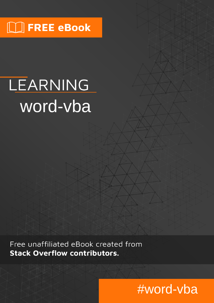# **NU FREE eBook**

# LEARNING word-vba

Free unaffiliated eBook created from **Stack Overflow contributors.** 

# #word-vba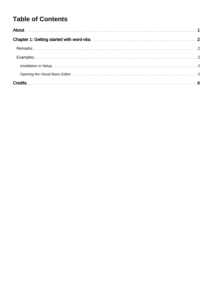## **Table of Contents**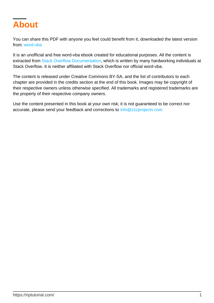<span id="page-2-0"></span>

You can share this PDF with anyone you feel could benefit from it, downloaded the latest version from: [word-vba](http://riptutorial.com/ebook/word-vba)

It is an unofficial and free word-vba ebook created for educational purposes. All the content is extracted from [Stack Overflow Documentation,](https://archive.org/details/documentation-dump.7z) which is written by many hardworking individuals at Stack Overflow. It is neither affiliated with Stack Overflow nor official word-vba.

The content is released under Creative Commons BY-SA, and the list of contributors to each chapter are provided in the credits section at the end of this book. Images may be copyright of their respective owners unless otherwise specified. All trademarks and registered trademarks are the property of their respective company owners.

Use the content presented in this book at your own risk; it is not guaranteed to be correct nor accurate, please send your feedback and corrections to [info@zzzprojects.com](mailto:info@zzzprojects.com)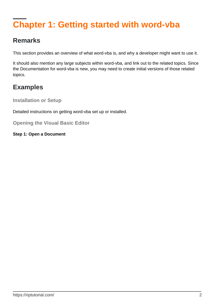## <span id="page-3-0"></span>**Chapter 1: Getting started with word-vba**

### <span id="page-3-1"></span>**Remarks**

This section provides an overview of what word-vba is, and why a developer might want to use it.

It should also mention any large subjects within word-vba, and link out to the related topics. Since the Documentation for word-vba is new, you may need to create initial versions of those related topics.

## <span id="page-3-2"></span>**Examples**

<span id="page-3-3"></span>**Installation or Setup**

Detailed instructions on getting word-vba set up or installed.

<span id="page-3-4"></span>**Opening the Visual Basic Editor**

**Step 1: Open a Document**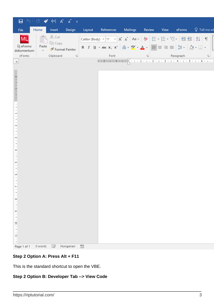| 日                                                                                                 |              |                                                  |           |                |                                                                                                                                                                                                                                                                                                                                                                                                                                                                                                                                                                                                                                                                                                                                                                                                                              |          |        |      |           |                |
|---------------------------------------------------------------------------------------------------|--------------|--------------------------------------------------|-----------|----------------|------------------------------------------------------------------------------------------------------------------------------------------------------------------------------------------------------------------------------------------------------------------------------------------------------------------------------------------------------------------------------------------------------------------------------------------------------------------------------------------------------------------------------------------------------------------------------------------------------------------------------------------------------------------------------------------------------------------------------------------------------------------------------------------------------------------------------|----------|--------|------|-----------|----------------|
| File                                                                                              | Home         | Insert                                           | Design    | Layout         | References                                                                                                                                                                                                                                                                                                                                                                                                                                                                                                                                                                                                                                                                                                                                                                                                                   | Mailings | Review | View | eForms    | $Q$ Tell me wl |
| <b>ML</b><br>Új eForms<br>dokumentum<br>eForms                                                    | ركن<br>Paste | X Cut<br>lin Copy<br>Format Painter<br>Clipboard | $\Box$    |                | Calibri (Body) $\rightarrow$ 11 $\rightarrow$ $A^*$ $A^*$   Aa $\rightarrow$   $A^*$   $\left  \frac{A^*}{A^*} \right $ $\left  \frac{A^*}{A^*} \right $ $\left  \frac{A^*}{A^*} \right $ $\left  \frac{A^*}{A^*} \right $ $\left  \frac{A^*}{A^*} \right $ $\left  \frac{A^*}{A^*} \right $ $\left  \frac{A^*}{A^*} \right $ $\left  \frac{A^*}{A^*} \right $<br><b>B</b> $I$ $\underline{\mathsf{U}}$ $\downarrow$ abe $\mathsf{x}_2$ $\mathsf{x}^2$ $\begin{array}{ c c c c c }\n\hline\n\mathsf{A} & \downarrow & \mathsf{A} \\ \hline\n\end{array}$ $\downarrow$ $\underline{\mathsf{N}}$ $\downarrow$ $\underline{\mathsf{N}}$ $\downarrow$ $\underline{\mathsf{N}}$ $\downarrow$ $\underline{\mathsf{N}}$ $\underline{\mathsf{N}}$ $\underline{\mathsf{N}}$ $\underline{\mathsf{N}}$ $\underline{\mathsf{N}}$<br>Font |          | 同      |      | Paragraph | - Fair         |
| $\mathbb L$                                                                                       |              |                                                  |           |                | $1 + 2 + 1 + 1 + 1 + \sum_{i=1}^{n} (-1 + 1 + 1 + 2 + 1 + 3 + 1 + 4 + 1 + 5 + 1 + 6 + 1 + 3)$                                                                                                                                                                                                                                                                                                                                                                                                                                                                                                                                                                                                                                                                                                                                |          |        |      |           |                |
| $1 + 1 + 1 + 1 + 2$<br>$\overline{\phantom{0}}$<br>$\sim$<br>z<br>4<br>Lņ<br>w<br>8<br>ō<br>$\Xi$ |              |                                                  |           |                |                                                                                                                                                                                                                                                                                                                                                                                                                                                                                                                                                                                                                                                                                                                                                                                                                              |          |        |      |           |                |
| $\Xi$                                                                                             |              |                                                  |           |                |                                                                                                                                                                                                                                                                                                                                                                                                                                                                                                                                                                                                                                                                                                                                                                                                                              |          |        |      |           |                |
| Page 1 of 1                                                                                       | 0 words      | œ                                                | Hungarian | $\frac{1}{16}$ |                                                                                                                                                                                                                                                                                                                                                                                                                                                                                                                                                                                                                                                                                                                                                                                                                              |          |        |      |           |                |

#### **Step 2 Option A: Press Alt + F11**

This is the standard shortcut to open the VBE.

#### **Step 2 Option B: Developer Tab --> View Code**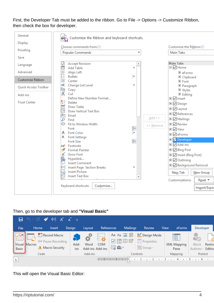First, the Developer Tab must be added to the ribbon. Go to File -> Options -> Customize Ribbon, then check the box for developer.

| General              | Customize the Ribbon and keyboard shortcuts.             |                                   |                                      |
|----------------------|----------------------------------------------------------|-----------------------------------|--------------------------------------|
| <b>Display</b>       |                                                          |                                   |                                      |
| Proofing             | Choose commands from: 0<br>Popular Commands              | $\overline{\phantom{a}}$          | Customize the Ribbon: 0<br>Main Tabs |
| Save                 |                                                          |                                   |                                      |
|                      | <b>Accept Revision</b><br>⊽                              | ┻                                 | <b>Main Tabs</b>                     |
| Language             | <b>Add Table</b>                                         |                                   | □ Ø Home                             |
| Advanced             | 画具三三<br>Align Left                                       |                                   | 田 eForms                             |
|                      | <b>Bullets</b>                                           | ×                                 | □ Clipboard                          |
| Customize Ribbon     | Center                                                   |                                   | 日 Font                               |
| Quick Access Toolbar | E Change List Level                                      |                                   | □ Paragraph                          |
|                      | 昛<br>Copy                                                |                                   | 田 Styles                             |
| Add-ins              | ⋇<br>Cut                                                 |                                   | $\Box$ Editing                       |
|                      | Define New Number Format                                 |                                   | <b>⊞</b> Ø Insert                    |
| <b>Trust Center</b>  | భ<br>Delete                                              |                                   | <b>El</b> ⊘ Design                   |
|                      | K<br>Draw Table                                          |                                   | <b>□</b> Ø Layout                    |
|                      | <b>IIA</b><br><b>Draw Vertical Text Box</b><br>r©q       |                                   | <b>El</b> <i>V</i> References        |
|                      | Email<br>م<br>Find                                       | $Add$ >>                          | $\boxplus \nabla$ Mailings           |
|                      | H⊟►<br>Fit to Window Width                               |                                   | <b>EI</b> ØReview                    |
|                      | Font                                                     | << Remove<br>$\mathbb{I}^{\perp}$ | □ Ø View                             |
|                      | A Font Color                                             | Þ.                                |                                      |
|                      | A Font Settings                                          |                                   | <b>⊞</b> ØeForms                     |
|                      | <b>Font Size</b>                                         | $\mathbb{T}^+$                    | <b>□ ▽</b> Developer                 |
|                      | Footnote<br>AB <sup>1</sup>                              |                                   | □ Ø Add-ins                          |
|                      | s.<br><b>Format Painter</b>                              |                                   | <b>□ Ø Blog Post</b>                 |
|                      | AÎ<br><b>Grow Font</b>                                   |                                   | □ Ø Insert (Blog Post)               |
|                      | Hyperlink                                                |                                   | <b>□ ⊘ Outlining</b>                 |
|                      | <b>Insert Comment</b>                                    |                                   | <b>□ Ø</b> Background Removal        |
|                      | <b>BELLER</b><br><b>Insert Page Section Breaks</b>       | Þ                                 |                                      |
|                      | <b>Insert Picture</b><br>$A =$<br><b>Insert Text Box</b> |                                   | New Tab<br>New Group                 |
|                      |                                                          | $\overline{\phantom{a}}$          | Customizations:<br>Reset ▼           |
|                      | Keyboard shortcuts:<br>Customize                         |                                   | Import/Expo                          |
|                      |                                                          |                                   |                                      |

#### Then, go to the developer tab and **"Visual Basic"**

|             | <b>⊟ ා ි ඁ</b> H A N ₹   |                                                                       |                          |             |                             |     |                            |                                                                                             |      |                          |                            |              |
|-------------|--------------------------|-----------------------------------------------------------------------|--------------------------|-------------|-----------------------------|-----|----------------------------|---------------------------------------------------------------------------------------------|------|--------------------------|----------------------------|--------------|
| <b>File</b> | Home                     | Insert                                                                | Design                   | Layout      | References                  |     | <b>Mailings</b>            | Review                                                                                      | View | eForms                   | Developer                  |              |
| ≧<br>Basic  | 丰<br>EГ<br>Visual Macros | <b>Record Macro</b><br>II® Pause Recording<br><b>A</b> Macro Security | $\bullet$<br>Add-<br>ins | -ಭೆ<br>Word | 囩<br>COM<br>Add-ins Add-ins | 最高・ | Aa Aa $\Xi$ hij<br>☑ 雨 国 面 | Design Mode<br>$\sqrt{\frac{2}{\omega}}$ Properties<br>Group ~                              |      | 牖<br>XML Mapping<br>Pane | Block<br>Authors ~ Editino | É<br>Restric |
|             | Code                     |                                                                       |                          | Add-ins     |                             |     |                            | Controls                                                                                    |      | Mapping                  | Protect                    |              |
| L.          |                          |                                                                       |                          |             |                             |     |                            | $1 + 2 + 1 + 1 + 1 + \sum_{i=1}^n (-1)^i (1+i) + 2 + 1 + 3 + 1 + 4 + 1 + 5 + 1 + 6 + 1 + 3$ |      |                          |                            |              |

This will open the Visual Basic Editor: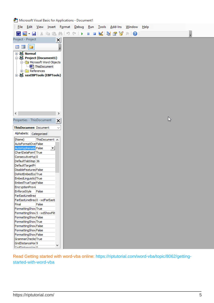Microsoft Visual Basic for Applications - Document1

| <b>Eile</b>                   |                                  |                                |                |              | <u>E</u> dit <u>V</u> iew <u>I</u> nsert F <u>o</u> rmat <u>D</u> ebug | Run | <b>Tools</b>                                       | Add-Ins Window |  | $\overline{\text{Help}}$ |   |  |
|-------------------------------|----------------------------------|--------------------------------|----------------|--------------|------------------------------------------------------------------------|-----|----------------------------------------------------|----------------|--|--------------------------|---|--|
| W                             | Ы<br>$\blacksquare$ .            | X                              |                |              |                                                                        |     | <b>b B A F C I &amp; I &amp; Y &amp; Y &amp; O</b> |                |  |                          |   |  |
| Project - Project             |                                  |                                |                | $\times$     |                                                                        |     |                                                    |                |  |                          |   |  |
| 国                             | 国门                               |                                |                | Ŧ            |                                                                        |     |                                                    |                |  |                          |   |  |
|                               | ⊕-&≸Normal                       |                                |                |              |                                                                        |     |                                                    |                |  |                          |   |  |
|                               |                                  | 中 & Project (Document1)        |                |              |                                                                        |     |                                                    |                |  |                          |   |  |
|                               |                                  | in Microsoft Word Objects      |                |              |                                                                        |     |                                                    |                |  |                          |   |  |
|                               |                                  | ThisDocument                   |                |              |                                                                        |     |                                                    |                |  |                          |   |  |
|                               |                                  | E-References                   |                |              |                                                                        |     |                                                    |                |  |                          |   |  |
|                               |                                  | 由 & saxEBPTools (EBPTools)     |                |              |                                                                        |     |                                                    |                |  |                          |   |  |
|                               |                                  |                                |                |              |                                                                        |     |                                                    |                |  |                          |   |  |
|                               |                                  |                                |                |              |                                                                        |     |                                                    |                |  |                          |   |  |
|                               |                                  |                                |                |              |                                                                        |     |                                                    |                |  |                          |   |  |
|                               |                                  |                                |                |              |                                                                        |     |                                                    |                |  |                          |   |  |
|                               |                                  |                                |                |              |                                                                        |     |                                                    |                |  |                          |   |  |
|                               |                                  |                                |                |              |                                                                        |     |                                                    |                |  |                          |   |  |
|                               |                                  |                                |                |              |                                                                        |     |                                                    |                |  |                          |   |  |
| $\boldsymbol\zeta$            |                                  |                                |                | $\,$         |                                                                        |     |                                                    |                |  |                          |   |  |
| Properties - ThisDocument     |                                  |                                |                | ×            |                                                                        |     |                                                    |                |  |                          | B |  |
| <b>ThisDocumen</b> Document   |                                  |                                |                | $\checkmark$ |                                                                        |     |                                                    |                |  |                          |   |  |
|                               |                                  |                                |                |              |                                                                        |     |                                                    |                |  |                          |   |  |
|                               |                                  | Alphabetic Categorized         |                |              |                                                                        |     |                                                    |                |  |                          |   |  |
| (Name)                        |                                  |                                | ThisDocument A |              |                                                                        |     |                                                    |                |  |                          |   |  |
|                               | AutoFormatOve False              |                                |                |              |                                                                        |     |                                                    |                |  |                          |   |  |
|                               | AutoHyphenatic False             |                                | ▾∣             |              |                                                                        |     |                                                    |                |  |                          |   |  |
|                               | ChartDataPoint <sup>1</sup> True |                                |                |              |                                                                        |     |                                                    |                |  |                          |   |  |
| DefaultTabStop 36             | ConsecutiveHyp0                  |                                |                |              |                                                                        |     |                                                    |                |  |                          |   |  |
| DefaultTargetFr               |                                  |                                |                |              |                                                                        |     |                                                    |                |  |                          |   |  |
| DisableFeatures False         |                                  |                                |                |              |                                                                        |     |                                                    |                |  |                          |   |  |
| DoNotEmbedSysTrue             |                                  |                                |                |              |                                                                        |     |                                                    |                |  |                          |   |  |
| EmbedLinguisticlTrue          |                                  |                                |                |              |                                                                        |     |                                                    |                |  |                          |   |  |
| EmbedTrueTypeFalse            |                                  |                                |                |              |                                                                        |     |                                                    |                |  |                          |   |  |
| EncryptionProvi               |                                  |                                |                |              |                                                                        |     |                                                    |                |  |                          |   |  |
| EnforceStyle                  |                                  | False                          |                |              |                                                                        |     |                                                    |                |  |                          |   |  |
| FarEastLineBrea               |                                  |                                |                |              |                                                                        |     |                                                    |                |  |                          |   |  |
|                               |                                  | FarEastLineBrea 0 - wdFarEastL |                |              |                                                                        |     |                                                    |                |  |                          |   |  |
| Final                         | FormattingShow True              | False                          |                |              |                                                                        |     |                                                    |                |  |                          |   |  |
|                               |                                  | FormattingShow 5 - wdShowFilt  |                |              |                                                                        |     |                                                    |                |  |                          |   |  |
|                               | FormattingShow False             |                                |                |              |                                                                        |     |                                                    |                |  |                          |   |  |
|                               | FormattingShow True              |                                |                |              |                                                                        |     |                                                    |                |  |                          |   |  |
|                               | FormattingShow False             |                                |                |              |                                                                        |     |                                                    |                |  |                          |   |  |
|                               | FormattingShow False             |                                |                |              |                                                                        |     |                                                    |                |  |                          |   |  |
|                               | FormattingShow False             |                                |                |              |                                                                        |     |                                                    |                |  |                          |   |  |
|                               | GrammarChecke True               |                                |                |              |                                                                        |     |                                                    |                |  |                          |   |  |
| GridDistanceHor <sup>19</sup> |                                  |                                |                |              |                                                                        |     |                                                    |                |  |                          |   |  |
| CridDiatoncoMor 0             |                                  |                                |                | v            |                                                                        |     |                                                    |                |  |                          |   |  |

Read Getting started with word-vba online: [https://riptutorial.com/word-vba/topic/8062/getting](https://riptutorial.com/word-vba/topic/8062/getting-started-with-word-vba)[started-with-word-vba](https://riptutorial.com/word-vba/topic/8062/getting-started-with-word-vba)